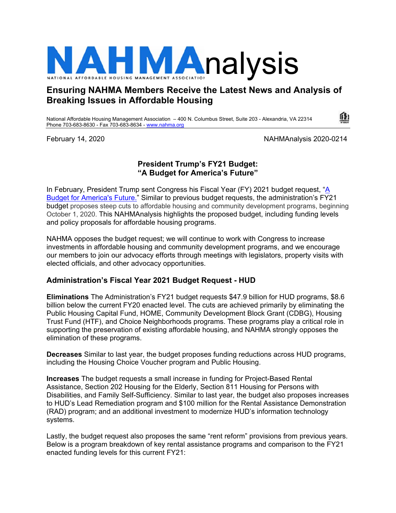

# **Ensuring NAHMA Members Receive the Latest News and Analysis of Breaking Issues in Affordable Housing**

National Affordable Housing Management Association – 400 N. Columbus Street, Suite 203 - Alexandria, VA 22314 Phone 703-683-8630 - Fax 703-683-8634 - www.nahma.org

February 14, 2020 NAHMAnalysis 2020-0214

## **President Trump's FY21 Budget: "A Budget for America's Future"**

In February, President Trump sent Congress his Fiscal Year (FY) 2021 budget request, "A Budget for America's Future." Similar to previous budget requests, the administration's FY21 budget proposes steep cuts to affordable housing and community development programs, beginning October 1, 2020. This NAHMAnalysis highlights the proposed budget, including funding levels and policy proposals for affordable housing programs.

NAHMA opposes the budget request; we will continue to work with Congress to increase investments in affordable housing and community development programs, and we encourage our members to join our advocacy efforts through meetings with legislators, property visits with elected officials, and other advocacy opportunities.

# **Administration's Fiscal Year 2021 Budget Request - HUD**

**Eliminations** The Administration's FY21 budget requests \$47.9 billion for HUD programs, \$8.6 billion below the current FY20 enacted level. The cuts are achieved primarily by eliminating the Public Housing Capital Fund, HOME, Community Development Block Grant (CDBG), Housing Trust Fund (HTF), and Choice Neighborhoods programs. These programs play a critical role in supporting the preservation of existing affordable housing, and NAHMA strongly opposes the elimination of these programs.

**Decreases** Similar to last year, the budget proposes funding reductions across HUD programs, including the Housing Choice Voucher program and Public Housing.

**Increases** The budget requests a small increase in funding for Project-Based Rental Assistance, Section 202 Housing for the Elderly, Section 811 Housing for Persons with Disabilities, and Family Self-Sufficiency. Similar to last year, the budget also proposes increases to HUD's Lead Remediation program and \$100 million for the Rental Assistance Demonstration (RAD) program; and an additional investment to modernize HUD's information technology systems.

Lastly, the budget request also proposes the same "rent reform" provisions from previous years. Below is a program breakdown of key rental assistance programs and comparison to the FY21 enacted funding levels for this current FY21: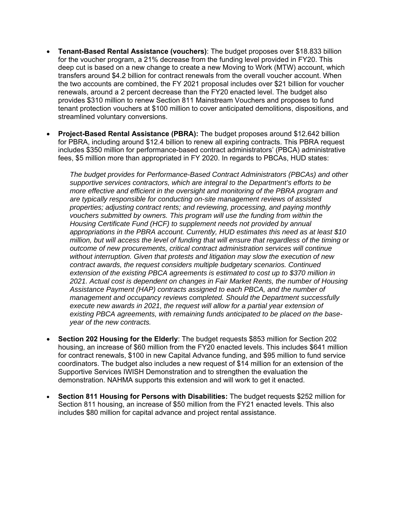- **Tenant-Based Rental Assistance (vouchers)**: The budget proposes over \$18.833 billion for the voucher program, a 21% decrease from the funding level provided in FY20. This deep cut is based on a new change to create a new Moving to Work (MTW) account, which transfers around \$4.2 billion for contract renewals from the overall voucher account. When the two accounts are combined, the FY 2021 proposal includes over \$21 billion for voucher renewals, around a 2 percent decrease than the FY20 enacted level. The budget also provides \$310 million to renew Section 811 Mainstream Vouchers and proposes to fund tenant protection vouchers at \$100 million to cover anticipated demolitions, dispositions, and streamlined voluntary conversions.
- **Project-Based Rental Assistance (PBRA):** The budget proposes around \$12.642 billion for PBRA, including around \$12.4 billion to renew all expiring contracts. This PBRA request includes \$350 million for performance-based contract administrators' (PBCA) administrative fees, \$5 million more than appropriated in FY 2020. In regards to PBCAs, HUD states:

*The budget provides for Performance-Based Contract Administrators (PBCAs) and other supportive services contractors, which are integral to the Department's efforts to be more effective and efficient in the oversight and monitoring of the PBRA program and are typically responsible for conducting on-site management reviews of assisted properties; adjusting contract rents; and reviewing, processing, and paying monthly vouchers submitted by owners. This program will use the funding from within the Housing Certificate Fund (HCF) to supplement needs not provided by annual appropriations in the PBRA account. Currently, HUD estimates this need as at least \$10 million, but will access the level of funding that will ensure that regardless of the timing or outcome of new procurements, critical contract administration services will continue without interruption. Given that protests and litigation may slow the execution of new contract awards, the request considers multiple budgetary scenarios. Continued extension of the existing PBCA agreements is estimated to cost up to \$370 million in 2021. Actual cost is dependent on changes in Fair Market Rents, the number of Housing Assistance Payment (HAP) contracts assigned to each PBCA, and the number of management and occupancy reviews completed. Should the Department successfully execute new awards in 2021, the request will allow for a partial year extension of existing PBCA agreements, with remaining funds anticipated to be placed on the baseyear of the new contracts.* 

- **Section 202 Housing for the Elderly**: The budget requests \$853 million for Section 202 housing, an increase of \$60 million from the FY20 enacted levels. This includes \$641 million for contract renewals, \$100 in new Capital Advance funding, and \$95 million to fund service coordinators. The budget also includes a new request of \$14 million for an extension of the Supportive Services IWISH Demonstration and to strengthen the evaluation the demonstration. NAHMA supports this extension and will work to get it enacted.
- **Section 811 Housing for Persons with Disabilities:** The budget requests \$252 million for Section 811 housing, an increase of \$50 million from the FY21 enacted levels. This also includes \$80 million for capital advance and project rental assistance.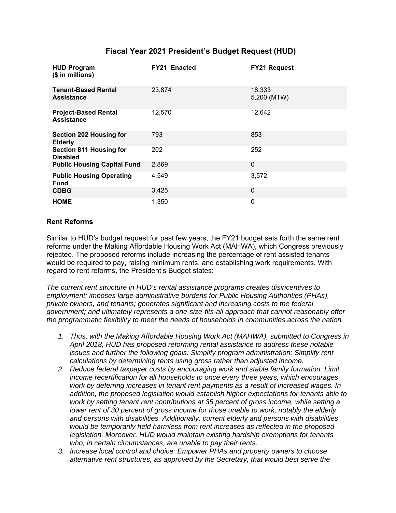## **Fiscal Year 2021 President's Budget Request (HUD)**

| <b>HUD Program</b><br>(\$ in millions)            | <b>FY21 Enacted</b> | <b>FY21 Request</b>   |
|---------------------------------------------------|---------------------|-----------------------|
| <b>Tenant-Based Rental</b><br><b>Assistance</b>   | 23,874              | 18,333<br>5,200 (MTW) |
| <b>Project-Based Rental</b><br><b>Assistance</b>  | 12,570              | 12,642                |
| <b>Section 202 Housing for</b><br><b>Elderly</b>  | 793                 | 853                   |
| <b>Section 811 Housing for</b><br><b>Disabled</b> | 202                 | 252                   |
| <b>Public Housing Capital Fund</b>                | 2,869               | $\Omega$              |
| <b>Public Housing Operating</b><br><b>Fund</b>    | 4,549               | 3,572                 |
| <b>CDBG</b>                                       | 3,425               | 0                     |
| <b>HOME</b>                                       | 1,350               | 0                     |

#### **Rent Reforms**

Similar to HUD's budget request for past few years, the FY21 budget sets forth the same rent reforms under the Making Affordable Housing Work Act (MAHWA), which Congress previously rejected. The proposed reforms include increasing the percentage of rent assisted tenants would be required to pay, raising minimum rents, and establishing work requirements. With regard to rent reforms, the President's Budget states:

*The current rent structure in HUD's rental assistance programs creates disincentives to employment; imposes large administrative burdens for Public Housing Authorities (PHAs), private owners, and tenants; generates significant and increasing costs to the federal government; and ultimately represents a one-size-fits-all approach that cannot reasonably offer the programmatic flexibility to meet the needs of households in communities across the nation.* 

- *1. Thus, with the Making Affordable Housing Work Act (MAHWA), submitted to Congress in April 2018, HUD has proposed reforming rental assistance to address these notable issues and further the following goals: Simplify program administration: Simplify rent calculations by determining rents using gross rather than adjusted income.*
- *2. Reduce federal taxpayer costs by encouraging work and stable family formation: Limit income recertification for all households to once every three years, which encourages work by deferring increases in tenant rent payments as a result of increased wages. In addition, the proposed legislation would establish higher expectations for tenants able to work by setting tenant rent contributions at 35 percent of gross income, while setting a lower rent of 30 percent of gross income for those unable to work, notably the elderly and persons with disabilities. Additionally, current elderly and persons with disabilities would be temporarily held harmless from rent increases as reflected in the proposed legislation. Moreover, HUD would maintain existing hardship exemptions for tenants who, in certain circumstances, are unable to pay their rents.*
- *3. Increase local control and choice: Empower PHAs and property owners to choose alternative rent structures, as approved by the Secretary, that would best serve the*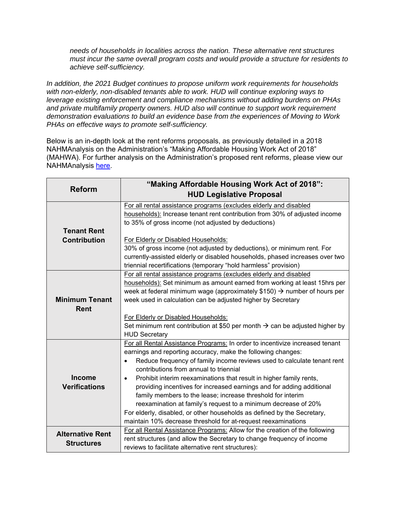*needs of households in localities across the nation. These alternative rent structures must incur the same overall program costs and would provide a structure for residents to achieve self-sufficiency.* 

*In addition, the 2021 Budget continues to propose uniform work requirements for households with non-elderly, non-disabled tenants able to work. HUD will continue exploring ways to leverage existing enforcement and compliance mechanisms without adding burdens on PHAs and private multifamily property owners. HUD also will continue to support work requirement demonstration evaluations to build an evidence base from the experiences of Moving to Work PHAs on effective ways to promote self-sufficiency.* 

Below is an in-depth look at the rent reforms proposals, as previously detailed in a 2018 NAHMAnalysis on the Administration's "Making Affordable Housing Work Act of 2018" (MAHWA). For further analysis on the Administration's proposed rent reforms, please view our NAHMAnalysis here.

| <b>Reform</b>                                | "Making Affordable Housing Work Act of 2018":<br><b>HUD Legislative Proposal</b>                                                                                                                                                                                                                                                                                                                                                                                                                                                                                                                                                                                                                                 |  |
|----------------------------------------------|------------------------------------------------------------------------------------------------------------------------------------------------------------------------------------------------------------------------------------------------------------------------------------------------------------------------------------------------------------------------------------------------------------------------------------------------------------------------------------------------------------------------------------------------------------------------------------------------------------------------------------------------------------------------------------------------------------------|--|
| <b>Tenant Rent</b>                           | For all rental assistance programs (excludes elderly and disabled<br>households): Increase tenant rent contribution from 30% of adjusted income<br>to 35% of gross income (not adjusted by deductions)                                                                                                                                                                                                                                                                                                                                                                                                                                                                                                           |  |
| <b>Contribution</b>                          | For Elderly or Disabled Households:<br>30% of gross income (not adjusted by deductions), or minimum rent. For<br>currently-assisted elderly or disabled households, phased increases over two<br>triennial recertifications (temporary "hold harmless" provision)                                                                                                                                                                                                                                                                                                                                                                                                                                                |  |
| <b>Minimum Tenant</b><br>Rent                | For all rental assistance programs (excludes elderly and disabled<br>households): Set minimum as amount earned from working at least 15hrs per<br>week at federal minimum wage (approximately $$150$ ) $\rightarrow$ number of hours per<br>week used in calculation can be adjusted higher by Secretary<br>For Elderly or Disabled Households:<br>Set minimum rent contribution at \$50 per month $\rightarrow$ can be adjusted higher by<br><b>HUD Secretary</b>                                                                                                                                                                                                                                               |  |
| <b>Income</b><br><b>Verifications</b>        | For all Rental Assistance Programs: In order to incentivize increased tenant<br>earnings and reporting accuracy, make the following changes:<br>Reduce frequency of family income reviews used to calculate tenant rent<br>٠<br>contributions from annual to triennial<br>Prohibit interim reexaminations that result in higher family rents,<br>$\bullet$<br>providing incentives for increased earnings and for adding additional<br>family members to the lease; increase threshold for interim<br>reexamination at family's request to a minimum decrease of 20%<br>For elderly, disabled, or other households as defined by the Secretary,<br>maintain 10% decrease threshold for at-request reexaminations |  |
| <b>Alternative Rent</b><br><b>Structures</b> | For all Rental Assistance Programs: Allow for the creation of the following<br>rent structures (and allow the Secretary to change frequency of income<br>reviews to facilitate alternative rent structures):                                                                                                                                                                                                                                                                                                                                                                                                                                                                                                     |  |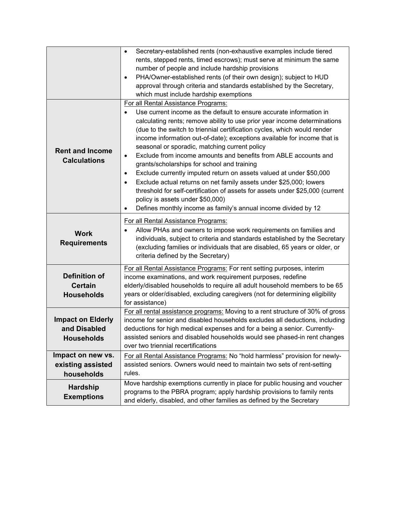|                                                               | Secretary-established rents (non-exhaustive examples include tiered<br>$\bullet$<br>rents, stepped rents, timed escrows); must serve at minimum the same<br>number of people and include hardship provisions<br>PHA/Owner-established rents (of their own design); subject to HUD<br>$\bullet$<br>approval through criteria and standards established by the Secretary,<br>which must include hardship exemptions                                                                                                                                                                                                                                                                                                                                                                                                                                                                             |
|---------------------------------------------------------------|-----------------------------------------------------------------------------------------------------------------------------------------------------------------------------------------------------------------------------------------------------------------------------------------------------------------------------------------------------------------------------------------------------------------------------------------------------------------------------------------------------------------------------------------------------------------------------------------------------------------------------------------------------------------------------------------------------------------------------------------------------------------------------------------------------------------------------------------------------------------------------------------------|
| <b>Rent and Income</b><br><b>Calculations</b>                 | For all Rental Assistance Programs:<br>Use current income as the default to ensure accurate information in<br>calculating rents; remove ability to use prior year income determinations<br>(due to the switch to triennial certification cycles, which would render<br>income information out-of-date); exceptions available for income that is<br>seasonal or sporadic, matching current policy<br>Exclude from income amounts and benefits from ABLE accounts and<br>$\bullet$<br>grants/scholarships for school and training<br>Exclude currently imputed return on assets valued at under \$50,000<br>$\bullet$<br>Exclude actual returns on net family assets under \$25,000; lowers<br>$\bullet$<br>threshold for self-certification of assets for assets under \$25,000 (current<br>policy is assets under \$50,000)<br>Defines monthly income as family's annual income divided by 12 |
| <b>Work</b><br><b>Requirements</b>                            | For all Rental Assistance Programs:<br>Allow PHAs and owners to impose work requirements on families and<br>$\bullet$<br>individuals, subject to criteria and standards established by the Secretary<br>(excluding families or individuals that are disabled, 65 years or older, or<br>criteria defined by the Secretary)                                                                                                                                                                                                                                                                                                                                                                                                                                                                                                                                                                     |
| <b>Definition of</b><br><b>Certain</b><br><b>Households</b>   | For all Rental Assistance Programs: For rent setting purposes, interim<br>income examinations, and work requirement purposes, redefine<br>elderly/disabled households to require all adult household members to be 65<br>years or older/disabled, excluding caregivers (not for determining eligibility<br>for assistance)                                                                                                                                                                                                                                                                                                                                                                                                                                                                                                                                                                    |
| <b>Impact on Elderly</b><br>and Disabled<br><b>Households</b> | For all rental assistance programs: Moving to a rent structure of 30% of gross<br>income for senior and disabled households excludes all deductions, including<br>deductions for high medical expenses and for a being a senior. Currently-<br>assisted seniors and disabled households would see phased-in rent changes<br>over two triennial recertifications                                                                                                                                                                                                                                                                                                                                                                                                                                                                                                                               |
| Impact on new vs.<br>existing assisted<br>households          | For all Rental Assistance Programs: No "hold harmless" provision for newly-<br>assisted seniors. Owners would need to maintain two sets of rent-setting<br>rules.                                                                                                                                                                                                                                                                                                                                                                                                                                                                                                                                                                                                                                                                                                                             |
| <b>Hardship</b><br><b>Exemptions</b>                          | Move hardship exemptions currently in place for public housing and voucher<br>programs to the PBRA program; apply hardship provisions to family rents<br>and elderly, disabled, and other families as defined by the Secretary                                                                                                                                                                                                                                                                                                                                                                                                                                                                                                                                                                                                                                                                |